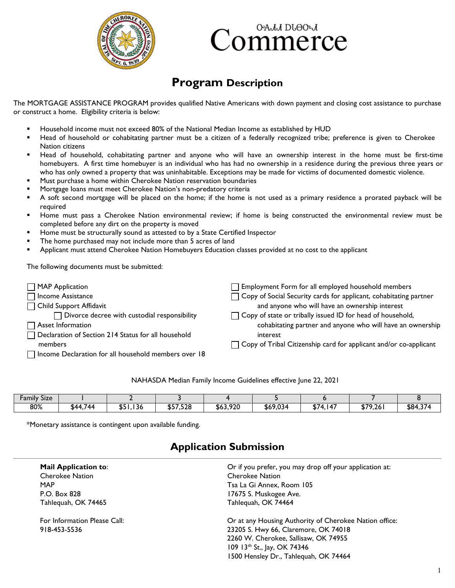

# ОАЛЛ DLӨОЛ dommerce

## **Program Description**

The MORTGAGE ASSISTANCE PROGRAM provides qualified Native Americans with down payment and closing cost assistance to purchase or construct a home. Eligibility criteria is below:

- Household income must not exceed 80% of the National Median Income as established by HUD
- Head of household or cohabitating partner must be a citizen of a federally recognized tribe; preference is given to Cherokee Nation citizens
- Head of household, cohabitating partner and anyone who will have an ownership interest in the home must be first-time homebuyers. A first time homebuyer is an individual who has had no ownership in a residence during the previous three years or who has only owned a property that was uninhabitable. Exceptions may be made for victims of documented domestic violence.
- Must purchase a home within Cherokee Nation reservation boundaries
- Mortgage loans must meet Cherokee Nation's non-predatory criteria
- A soft second mortgage will be placed on the home; if the home is not used as a primary residence a prorated payback will be required
- Home must pass a Cherokee Nation environmental review; if home is being constructed the environmental review must be completed before any dirt on the property is moved
- Home must be structurally sound as attested to by a State Certified Inspector
- The home purchased may not include more than 5 acres of land
- Applicant must attend Cherokee Nation Homebuyers Education classes provided at no cost to the applicant

The following documents must be submitted:

| $\Box$ MAP Application                               | $\Box$ Employment Form for all employed household members                |
|------------------------------------------------------|--------------------------------------------------------------------------|
| $\Box$ Income Assistance                             | $\Box$ Copy of Social Security cards for applicant, cohabitating partner |
| □ Child Support Affidavit                            | and anyone who will have an ownership interest                           |
| $\Box$ Divorce decree with custodial responsibility  | $\Box$ Copy of state or tribally issued ID for head of household,        |
| $\Box$ Asset Information                             | cohabitating partner and anyone who will have an ownership               |
| Declaration of Section 214 Status for all household  | interest                                                                 |
| members                                              | $\Box$ Copy of Tribal Citizenship card for applicant and/or co-applicant |
| Income Declaration for all household members over 18 |                                                                          |

#### NAHASDA Median Family Income Guidelines effective June 22, 2021

| <b>.</b><br>$\cdot$ .<br><b>Family Size</b> |                      |                            |                   |          |          |                   |         |          |
|---------------------------------------------|----------------------|----------------------------|-------------------|----------|----------|-------------------|---------|----------|
| 80%                                         | 744<br>ፍ44<br>w<br>. | <b>CL</b><br>.<br>\$51,136 | QCDC2O<br>937,340 | \$63,920 | \$69,034 | 074<br>147<br>. . | \$79,26 | \$84,374 |

\*Monetary assistance is contingent upon available funding.

| <b>Mail Application to:</b>  | Or if you prefer, you may drop off your application at: |
|------------------------------|---------------------------------------------------------|
| <b>Cherokee Nation</b>       | <b>Cherokee Nation</b>                                  |
| <b>MAP</b>                   | Tsa La Gi Annex, Room 105                               |
| P.O. Box 828                 | 17675 S. Muskogee Ave.                                  |
| Tahlequah, OK 74465          | Tahlequah, OK 74464                                     |
| For Information Please Call: | Or at any Housing Authority of Cherokee Nation office:  |
| 918-453-5536                 | 23205 S. Hwy 66, Claremore, OK 74018                    |
|                              | 2260 W. Cherokee, Sallisaw, OK 74955                    |
|                              | 109 13th St., Jay, OK 74346                             |
|                              | 1500 Hensley Dr., Tahlequah, OK 74464                   |

#### **Application Submission**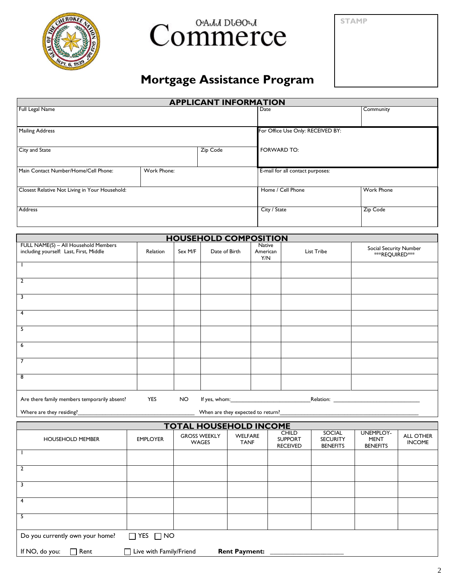

# Commerce

**STAMP**

# **Mortgage Assistance Program**

| <b>APPLICANT INFORMATION</b>                   |             |          |                                   |                   |  |
|------------------------------------------------|-------------|----------|-----------------------------------|-------------------|--|
| Full Legal Name                                |             |          | Date                              | Community         |  |
|                                                |             |          |                                   |                   |  |
| <b>Mailing Address</b>                         |             |          | For Office Use Only: RECEIVED BY: |                   |  |
|                                                |             |          |                                   |                   |  |
| City and State                                 |             | Zip Code | FORWARD TO:                       |                   |  |
|                                                |             |          |                                   |                   |  |
| Main Contact Number/Home/Cell Phone:           | Work Phone: |          | E-mail for all contact purposes:  |                   |  |
|                                                |             |          |                                   |                   |  |
| Closest Relative Not Living in Your Household: |             |          | Home / Cell Phone                 | <b>Work Phone</b> |  |
|                                                |             |          |                                   |                   |  |
| <b>Address</b>                                 |             |          | City / State                      | Zip Code          |  |
|                                                |             |          |                                   |                   |  |
|                                                |             |          |                                   |                   |  |

|                                                                                 |            |         | <b>HOUSEHOLD COMPOSITION</b>      |                           |            |                                                |
|---------------------------------------------------------------------------------|------------|---------|-----------------------------------|---------------------------|------------|------------------------------------------------|
| FULL NAME(S) - All Household Members<br>including yourself: Last, First, Middle | Relation   | Sex M/F | Date of Birth                     | Native<br>American<br>Y/N | List Tribe | Social Security Number<br><b>**REQUIRED***</b> |
|                                                                                 |            |         |                                   |                           |            |                                                |
| $\overline{2}$                                                                  |            |         |                                   |                           |            |                                                |
| 3                                                                               |            |         |                                   |                           |            |                                                |
| 4                                                                               |            |         |                                   |                           |            |                                                |
| 5                                                                               |            |         |                                   |                           |            |                                                |
| 6                                                                               |            |         |                                   |                           |            |                                                |
| 7                                                                               |            |         |                                   |                           |            |                                                |
| 8                                                                               |            |         |                                   |                           |            |                                                |
| Are there family members temporarily absent?                                    | <b>YES</b> | NO.     |                                   |                           |            |                                                |
| Where are they residing?                                                        |            |         | When are they expected to return? |                           |            |                                                |

| TOTAL HOUSEHOLD INCOME |          |           |
|------------------------|----------|-----------|
| <b>GROSS WEEKLY</b>    | WFI FARF | CHII D    |
|                        |          | דם ∩חחווי |

| <b>HOUSEHOLD MEMBER</b>         | <b>EMPLOYER</b>         | <b>GROSS WEEKLY</b><br>WAGES | WELFARE<br><b>TANF</b> | CHILD<br><b>SUPPORT</b><br><b>RECEIVED</b> | SOCIAL<br><b>SECURITY</b><br><b>BENEFITS</b> | UNEMPLOY-<br><b>MENT</b><br><b>BENEFITS</b> | <b>ALL OTHER</b><br><b>INCOME</b> |
|---------------------------------|-------------------------|------------------------------|------------------------|--------------------------------------------|----------------------------------------------|---------------------------------------------|-----------------------------------|
|                                 |                         |                              |                        |                                            |                                              |                                             |                                   |
|                                 |                         |                              |                        |                                            |                                              |                                             |                                   |
|                                 |                         |                              |                        |                                            |                                              |                                             |                                   |
| 4                               |                         |                              |                        |                                            |                                              |                                             |                                   |
| b.                              |                         |                              |                        |                                            |                                              |                                             |                                   |
| Do you currently own your home? | $\Box$ YES $\Box$ NO    |                              |                        |                                            |                                              |                                             |                                   |
| If NO, do you:<br>Rent          | Live with Family/Friend |                              | <b>Rent Payment:</b>   |                                            |                                              |                                             |                                   |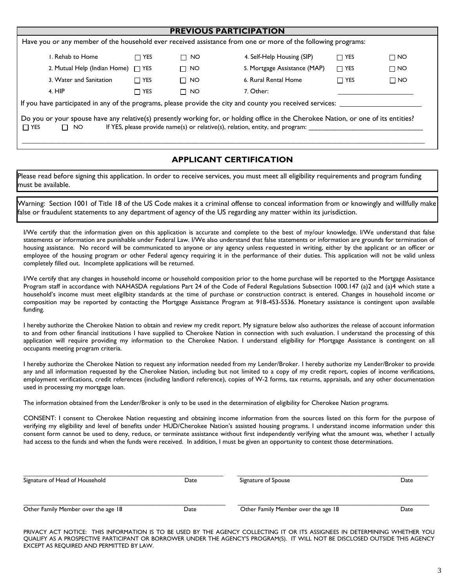|                                                                                                                                                                                                                                                | <b>PREVIOUS PARTICIPATION</b> |           |                              |            |           |  |
|------------------------------------------------------------------------------------------------------------------------------------------------------------------------------------------------------------------------------------------------|-------------------------------|-----------|------------------------------|------------|-----------|--|
| Have you or any member of the household ever received assistance from one or more of the following programs:                                                                                                                                   |                               |           |                              |            |           |  |
| I. Rehab to Home                                                                                                                                                                                                                               | $\Box$ YES                    | $\Box$ NO | 4. Self-Help Housing (SIP)   | $\Box$ YES | $\Box$ NO |  |
| 2. Mutual Help (Indian Home)                                                                                                                                                                                                                   | $\Box$ YES                    | $\Box$ NO | 5. Mortgage Assistance (MAP) | $\Box$ YES | $\Box$ NO |  |
| 3. Water and Sanitation                                                                                                                                                                                                                        | $\Box$ YES                    | $\Box$ NO | 6. Rural Rental Home         | $\Box$ YES | $\Box$ NO |  |
| 4. HIP                                                                                                                                                                                                                                         | $\Box$ YES                    | $\Box$ NO | 7. Other:                    |            |           |  |
| If you have participated in any of the programs, please provide the city and county you received services:                                                                                                                                     |                               |           |                              |            |           |  |
| Do you or your spouse have any relative(s) presently working for, or holding office in the Cherokee Nation, or one of its entities?<br>If YES, please provide name(s) or relative(s), relation, entity, and program:<br>NO.<br>$\Box$ YES<br>П |                               |           |                              |            |           |  |

#### **APPLICANT CERTIFICATION**

Please read before signing this application. In order to receive services, you must meet all eligibility requirements and program funding must be available.

Warning: Section 1001 of Title 18 of the US Code makes it a criminal offense to conceal information from or knowingly and willfully make false or fraudulent statements to any department of agency of the US regarding any matter within its jurisdiction.

I/We certify that the information given on this application is accurate and complete to the best of my/our knowledge. I/We understand that false statements or information are punishable under Federal Law. I/We also understand that false statements or information are grounds for termination of housing assistance. No record will be communicated to anyone or any agency unless requested in writing, either by the applicant or an officer or employee of the housing program or other Federal agency requiring it in the performance of their duties. This application will not be valid unless completely filled out. Incomplete applications will be returned.

I/We certify that any changes in household income or household composition prior to the home purchase will be reported to the Mortgage Assistance Program staff in accordance with NAHASDA regulations Part 24 of the Code of Federal Regulations Subsection 1000.147 (a)2 and (a)4 which state a household's income must meet eligilbity standards at the time of purchase or construction contract is entered. Changes in household income or composition may be reported by contacting the Mortgage Assistance Program at 918-453-5536. Monetary assistance is contingent upon available funding.

I hereby authorize the Cherokee Nation to obtain and review my credit report. My signature below also authorizes the release of account information to and from other financial institutions I have supplied to Cherokee Nation in connection with such evaluation. I understand the processing of this application will require providing my information to the Cherokee Nation. I understand eligibility for Mortgage Assistance is contingent on all occupants meeting program criteria.

I hereby authorize the Cherokee Nation to request any information needed from my Lender/Broker. I hereby authorize my Lender/Broker to provide any and all information requested by the Cherokee Nation, including but not limited to a copy of my credit report, copies of income verifications, employment verifications, credit references (including landlord reference), copies of W-2 forms, tax returns, appraisals, and any other documentation used in processing my mortgage loan.

The information obtained from the Lender/Broker is only to be used in the determination of eligibility for Cherokee Nation programs.

CONSENT: I consent to Cherokee Nation requesting and obtaining income information from the sources listed on this form for the purpose of verifying my eligibility and level of benefits under HUD/Cherokee Nation's assisted housing programs. I understand income information under this consent form cannot be used to deny, reduce, or terminate assistance without first independently verifying what the amount was, whether I actually had access to the funds and when the funds were received. In addition, I must be given an opportunity to contest those determinations.

| Signature of Head of Household      | Date | Signature of Spouse                 | Date |
|-------------------------------------|------|-------------------------------------|------|
| Other Family Member over the age 18 | Date | Other Family Member over the age 18 | Date |

PRIVACY ACT NOTICE: THIS INFORMATION IS TO BE USED BY THE AGENCY COLLECTING IT OR ITS ASSIGNEES IN DETERMINING WHETHER YOU QUALIFY AS A PROSPECTIVE PARTICIPANT OR BORROWER UNDER THE AGENCY'S PROGRAM(S). IT WILL NOT BE DISCLOSED OUTSIDE THIS AGENCY EXCEPT AS REQUIRED AND PERMITTED BY LAW.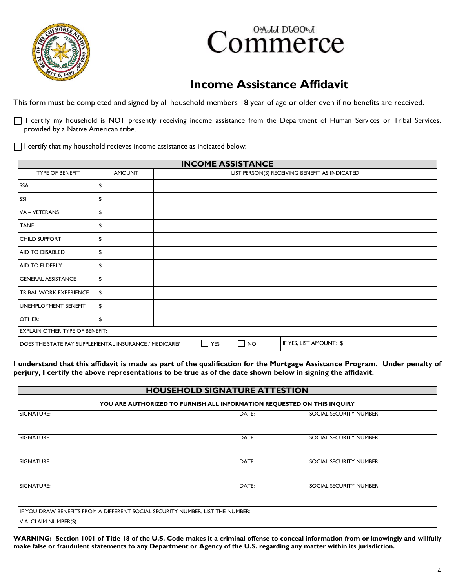



# **Income Assistance Affidavit**

This form must be completed and signed by all household members 18 year of age or older even if no benefits are received.

I certify my household is NOT presently receiving income assistance from the Department of Human Services or Tribal Services, provided by a Native American tribe.

 $\Box$  I certify that my household recieves income assistance as indicated below:

| <b>INCOME ASSISTANCE</b>                              |               |                                                                         |  |  |  |
|-------------------------------------------------------|---------------|-------------------------------------------------------------------------|--|--|--|
| <b>TYPE OF BENEFIT</b>                                | <b>AMOUNT</b> | LIST PERSON(S) RECEIVING BENEFIT AS INDICATED                           |  |  |  |
| <b>SSA</b>                                            | \$            |                                                                         |  |  |  |
| SSI                                                   | \$            |                                                                         |  |  |  |
| VA - VETERANS                                         | \$            |                                                                         |  |  |  |
| <b>TANF</b>                                           | \$            |                                                                         |  |  |  |
| CHILD SUPPORT                                         | \$            |                                                                         |  |  |  |
| AID TO DISABLED                                       | \$            |                                                                         |  |  |  |
| AID TO ELDERLY                                        | \$            |                                                                         |  |  |  |
| <b>GENERAL ASSISTANCE</b>                             | \$            |                                                                         |  |  |  |
| TRIBAL WORK EXPERIENCE                                | \$            |                                                                         |  |  |  |
| UNEMPLOYMENT BENEFIT                                  | \$            |                                                                         |  |  |  |
| OTHER:                                                | \$            |                                                                         |  |  |  |
| <b>EXPLAIN OTHER TYPE OF BENEFIT:</b>                 |               |                                                                         |  |  |  |
| DOES THE STATE PAY SUPPLEMENTAL INSURANCE / MEDICARE? |               | $\sim$<br>IF YES, LIST AMOUNT: \$<br>YES<br><b>NO</b><br>$\blacksquare$ |  |  |  |

**I understand that this affidavit is made as part of the qualification for the Mortgage Assistance Program. Under penalty of perjury, I certify the above representations to be true as of the date shown below in signing the affidavit.** 

|                                                                                | <b>HOUSEHOLD SIGNATURE ATTESTION</b>                                    |                        |  |  |  |
|--------------------------------------------------------------------------------|-------------------------------------------------------------------------|------------------------|--|--|--|
|                                                                                | YOU ARE AUTHORIZED TO FURNISH ALL INFORMATION REQUESTED ON THIS INQUIRY |                        |  |  |  |
| SIGNATURE:                                                                     | DATE:                                                                   | SOCIAL SECURITY NUMBER |  |  |  |
| SIGNATURE:                                                                     | DATE:                                                                   | SOCIAL SECURITY NUMBER |  |  |  |
| SIGNATURE:                                                                     | DATE:                                                                   | SOCIAL SECURITY NUMBER |  |  |  |
| SIGNATURE:                                                                     | DATE:                                                                   | SOCIAL SECURITY NUMBER |  |  |  |
| IF YOU DRAW BENEFITS FROM A DIFFERENT SOCIAL SECURITY NUMBER, LIST THE NUMBER: |                                                                         |                        |  |  |  |
| V.A. CLAIM NUMBER(S):                                                          |                                                                         |                        |  |  |  |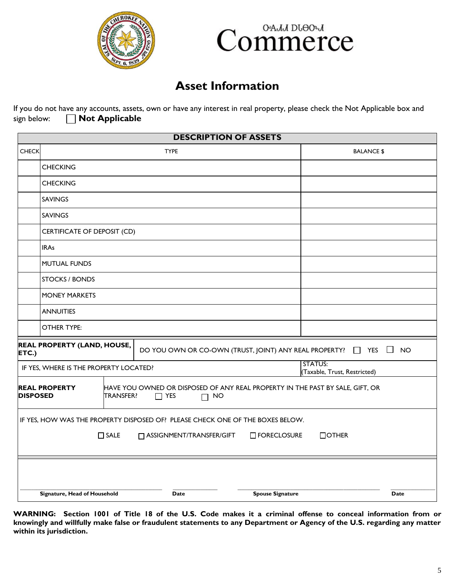



#### **Asset Information**

If you do not have any accounts, assets, own or have any interest in real property, please check the Not Applicable box and sign below: **Not Applicable** 

|                 | <b>DESCRIPTION OF ASSETS</b>                                                                                                                                    |                                                                                                               |                                                |                     |  |  |
|-----------------|-----------------------------------------------------------------------------------------------------------------------------------------------------------------|---------------------------------------------------------------------------------------------------------------|------------------------------------------------|---------------------|--|--|
| <b>CHECK</b>    |                                                                                                                                                                 | <b>TYPE</b>                                                                                                   | <b>BALANCE \$</b>                              |                     |  |  |
|                 | <b>CHECKING</b>                                                                                                                                                 |                                                                                                               |                                                |                     |  |  |
|                 | <b>CHECKING</b>                                                                                                                                                 |                                                                                                               |                                                |                     |  |  |
|                 | <b>SAVINGS</b>                                                                                                                                                  |                                                                                                               |                                                |                     |  |  |
|                 | <b>SAVINGS</b>                                                                                                                                                  |                                                                                                               |                                                |                     |  |  |
|                 | CERTIFICATE OF DEPOSIT (CD)                                                                                                                                     |                                                                                                               |                                                |                     |  |  |
|                 | <b>IRAs</b>                                                                                                                                                     |                                                                                                               |                                                |                     |  |  |
|                 | <b>MUTUAL FUNDS</b>                                                                                                                                             |                                                                                                               |                                                |                     |  |  |
|                 | <b>STOCKS / BONDS</b>                                                                                                                                           |                                                                                                               |                                                |                     |  |  |
|                 | <b>MONEY MARKETS</b>                                                                                                                                            |                                                                                                               |                                                |                     |  |  |
|                 | <b>ANNUITIES</b>                                                                                                                                                |                                                                                                               |                                                |                     |  |  |
|                 | <b>OTHER TYPE:</b>                                                                                                                                              |                                                                                                               |                                                |                     |  |  |
| ETC.)           | <b>REAL PROPERTY (LAND, HOUSE,</b>                                                                                                                              | DO YOU OWN OR CO-OWN (TRUST, JOINT) ANY REAL PROPERTY? □ YES                                                  |                                                | $\Box$<br><b>NO</b> |  |  |
|                 | IF YES, WHERE IS THE PROPERTY LOCATED?                                                                                                                          |                                                                                                               | <b>STATUS:</b><br>(Taxable, Trust, Restricted) |                     |  |  |
| <b>DISPOSED</b> | <b>REAL PROPERTY</b><br><b>TRANSFER?</b>                                                                                                                        | HAVE YOU OWNED OR DISPOSED OF ANY REAL PROPERTY IN THE PAST BY SALE, GIFT, OR<br>$\Box$ YES<br><b>NO</b><br>П |                                                |                     |  |  |
|                 | IF YES, HOW WAS THE PROPERTY DISPOSED OF? PLEASE CHECK ONE OF THE BOXES BELOW.<br>$\square$ SALE<br>□ ASSIGNMENT/TRANSFER/GIFT<br>$\Box$ OTHER<br>□ FORECLOSURE |                                                                                                               |                                                |                     |  |  |
|                 |                                                                                                                                                                 |                                                                                                               |                                                |                     |  |  |
|                 | Signature, Head of Household                                                                                                                                    | <b>Spouse Signature</b><br><b>Date</b>                                                                        |                                                | Date                |  |  |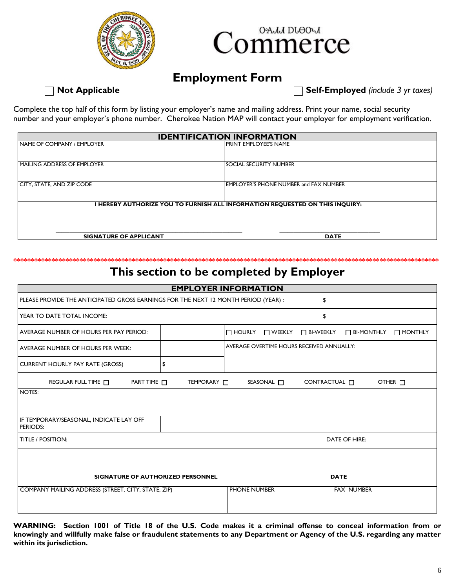![](_page_5_Picture_0.jpeg)

![](_page_5_Picture_1.jpeg)

#### **Employment Form**

**Not Applicable** Self-Employed (include 3 yr taxes)

Complete the top half of this form by listing your employer's name and mailing address. Print your name, social security number and your employer's phone number. Cherokee Nation MAP will contact your employer for employment verification.

| <b>IDENTIFICATION INFORMATION</b>                                          |                                        |  |  |  |  |
|----------------------------------------------------------------------------|----------------------------------------|--|--|--|--|
| NAME OF COMPANY / EMPLOYER                                                 | I PRINT EMPLOYEE'S NAME                |  |  |  |  |
|                                                                            |                                        |  |  |  |  |
| MAILING ADDRESS OF EMPLOYER                                                | I SOCIAL SECURITY NUMBER               |  |  |  |  |
|                                                                            |                                        |  |  |  |  |
| CITY, STATE, AND ZIP CODE                                                  | EMPLOYER'S PHONE NUMBER and FAX NUMBER |  |  |  |  |
|                                                                            |                                        |  |  |  |  |
| HEREBY AUTHORIZE YOU TO FURNISH ALL INFORMATION REQUESTED ON THIS INQUIRY: |                                        |  |  |  |  |
|                                                                            |                                        |  |  |  |  |
|                                                                            |                                        |  |  |  |  |
| <b>SIGNATURE OF APPLICANT</b><br><b>DATE</b>                               |                                        |  |  |  |  |

#### **\*\*\*\*\*\*\*\*\*\*\*\*\*\*\*\*\*\*\*\*\*\*\*\*\*\*\*\*\*\*\*\*\*\*\*\*\*\*\*\*\*\*\*\*\*\*\*\*\*\*\*\*\*\*\*\*\*\*\*\*\*\*\*\*\*\*\*\*\*\*\*\*\*\*\*\*\*\*\*\*\*\*\*\*\*\*\*\*\*\*\*\*\*\*\*\*\*\*\*\*\*\*\*\*\*\*\*\*\*\*\*\*\*\*\*\*\*\*\*\*\*\* This section to be completed by Employer**

| <b>EMPLOYER INFORMATION</b>                                                             |                    |                                               |                                       |  |
|-----------------------------------------------------------------------------------------|--------------------|-----------------------------------------------|---------------------------------------|--|
| PLEASE PROVIDE THE ANTICIPATED GROSS EARNINGS FOR THE NEXT 12 MONTH PERIOD (YEAR) :     |                    |                                               | \$                                    |  |
| YEAR TO DATE TOTAL INCOME:                                                              |                    |                                               | \$                                    |  |
| AVERAGE NUMBER OF HOURS PER PAY PERIOD:                                                 |                    | $\Box$ HOURLY<br>$\Box$ Weekly<br>□ BI-WEEKLY | $\Box$ BI-MONTHLY<br>$\Box$ MONTHLY   |  |
| AVERAGE NUMBER OF HOURS PER WEEK:                                                       |                    | AVERAGE OVERTIME HOURS RECEIVED ANNUALLY:     |                                       |  |
| <b>CURRENT HOURLY PAY RATE (GROSS)</b>                                                  | \$                 |                                               |                                       |  |
| REGULAR FULL TIME<br>PART TIME                                                          | TEMPORARY <b>N</b> | SEASONAL <sup>[1]</sup>                       | CONTRACTUAL <b>IT</b><br>OTHER $\Box$ |  |
| NOTES:                                                                                  |                    |                                               |                                       |  |
| IF TEMPORARY/SEASONAL, INDICATE LAY OFF<br><b>PERIODS:</b>                              |                    |                                               |                                       |  |
| <b>TITLE / POSITION:</b><br><b>DATE OF HIRE:</b>                                        |                    |                                               |                                       |  |
| <b>DATE</b><br><b>SIGNATURE OF AUTHORIZED PERSONNEL</b>                                 |                    |                                               |                                       |  |
| COMPANY MAILING ADDRESS (STREET, CITY, STATE, ZIP)<br>PHONE NUMBER<br><b>FAX NUMBER</b> |                    |                                               |                                       |  |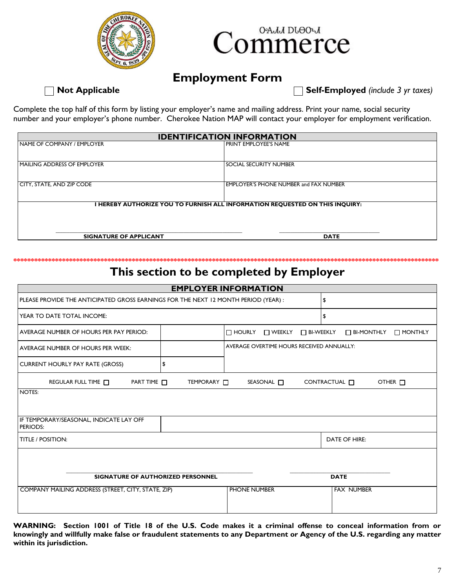![](_page_6_Picture_0.jpeg)

![](_page_6_Picture_1.jpeg)

#### **Employment Form**

**Not Applicable** Self-Employed (*include 3 yr taxes*)

Complete the top half of this form by listing your employer's name and mailing address. Print your name, social security number and your employer's phone number. Cherokee Nation MAP will contact your employer for employment verification.

| <b>IDENTIFICATION INFORMATION</b>                                          |                                        |  |  |  |  |
|----------------------------------------------------------------------------|----------------------------------------|--|--|--|--|
| NAME OF COMPANY / EMPLOYER                                                 | I PRINT EMPLOYEE'S NAME                |  |  |  |  |
|                                                                            |                                        |  |  |  |  |
| MAILING ADDRESS OF EMPLOYER                                                | I SOCIAL SECURITY NUMBER               |  |  |  |  |
|                                                                            |                                        |  |  |  |  |
| CITY, STATE, AND ZIP CODE                                                  | EMPLOYER'S PHONE NUMBER and FAX NUMBER |  |  |  |  |
|                                                                            |                                        |  |  |  |  |
| HEREBY AUTHORIZE YOU TO FURNISH ALL INFORMATION REQUESTED ON THIS INQUIRY: |                                        |  |  |  |  |
|                                                                            |                                        |  |  |  |  |
|                                                                            |                                        |  |  |  |  |
| <b>SIGNATURE OF APPLICANT</b><br><b>DATE</b>                               |                                        |  |  |  |  |

#### **\*\*\*\*\*\*\*\*\*\*\*\*\*\*\*\*\*\*\*\*\*\*\*\*\*\*\*\*\*\*\*\*\*\*\*\*\*\*\*\*\*\*\*\*\*\*\*\*\*\*\*\*\*\*\*\*\*\*\*\*\*\*\*\*\*\*\*\*\*\*\*\*\*\*\*\*\*\*\*\*\*\*\*\*\*\*\*\*\*\*\*\*\*\*\*\*\*\*\*\*\*\*\*\*\*\*\*\*\*\*\*\*\*\*\*\*\*\*\*\*\*\* This section to be completed by Employer**

| <b>EMPLOYER INFORMATION</b>                                                             |                    |                                                 |                                                    |  |
|-----------------------------------------------------------------------------------------|--------------------|-------------------------------------------------|----------------------------------------------------|--|
| PLEASE PROVIDE THE ANTICIPATED GROSS EARNINGS FOR THE NEXT 12 MONTH PERIOD (YEAR):      |                    |                                                 | \$                                                 |  |
| YEAR TO DATE TOTAL INCOME:                                                              |                    |                                                 | \$                                                 |  |
| AVERAGE NUMBER OF HOURS PER PAY PERIOD:                                                 |                    | $\Box$ HOURLY<br>$\Box$ WEEKLY $\Box$ BI-WEEKLY | $\Box$ BI-MONTHLY<br>$\Box$ MONTHLY                |  |
| AVERAGE NUMBER OF HOURS PER WEEK:                                                       |                    | AVERAGE OVERTIME HOURS RECEIVED ANNUALLY:       |                                                    |  |
| <b>CURRENT HOURLY PAY RATE (GROSS)</b>                                                  | \$                 |                                                 |                                                    |  |
| REGULAR FULL TIME<br>PART TIME                                                          | TEMPORARY <b>N</b> | SEASONAL <sub>[</sub>                           | CONTRACTUAL <sub>[1]</sub><br>OTHER <sub>[1]</sub> |  |
| NOTES:                                                                                  |                    |                                                 |                                                    |  |
| IF TEMPORARY/SEASONAL, INDICATE LAY OFF<br>PERIODS:                                     |                    |                                                 |                                                    |  |
| <b>DATE OF HIRE:</b><br><b>TITLE / POSITION:</b>                                        |                    |                                                 |                                                    |  |
| <b>DATE</b><br>SIGNATURE OF AUTHORIZED PERSONNEL                                        |                    |                                                 |                                                    |  |
| PHONE NUMBER<br><b>FAX NUMBER</b><br>COMPANY MAILING ADDRESS (STREET, CITY, STATE, ZIP) |                    |                                                 |                                                    |  |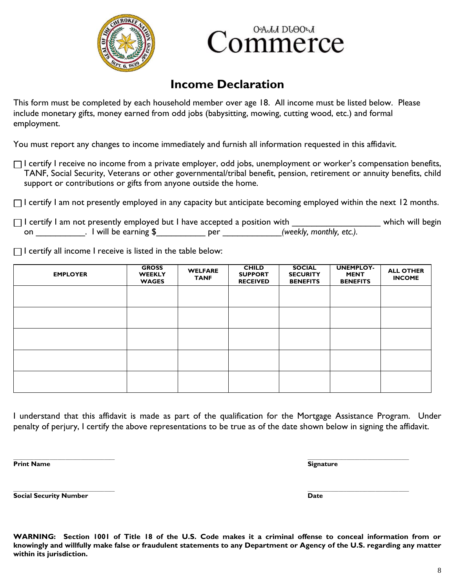![](_page_7_Picture_0.jpeg)

![](_page_7_Picture_1.jpeg)

### **Income Declaration**

This form must be completed by each household member over age 18. All income must be listed below. Please include monetary gifts, money earned from odd jobs (babysitting, mowing, cutting wood, etc.) and formal employment.

You must report any changes to income immediately and furnish all information requested in this affidavit.

 $\Box$  I certify I receive no income from a private employer, odd jobs, unemployment or worker's compensation benefits, TANF, Social Security, Veterans or other governmental/tribal benefit, pension, retirement or annuity benefits, child support or contributions or gifts from anyone outside the home.

 $\Box$  I certify I am not presently employed in any capacity but anticipate becoming employed within the next 12 months.

I certify I am not presently employed but I have accepted a position with \_\_\_\_\_\_\_\_\_\_\_\_\_\_\_\_\_\_\_\_\_\_\_ which will begin on \_\_\_\_\_\_\_\_\_\_. I will be earning \$\_\_\_\_\_\_\_\_\_\_ per \_\_\_\_\_\_\_\_\_\_\_\_*(weekly, monthly, etc.).*

 $\Box$  I certify all income I receive is listed in the table below:

| <b>EMPLOYER</b> | <b>GROSS</b><br><b>WEEKLY</b><br><b>WAGES</b> | <b>WELFARE</b><br><b>TANF</b> | <b>CHILD</b><br><b>SUPPORT</b><br><b>RECEIVED</b> | <b>SOCIAL</b><br><b>SECURITY</b><br><b>BENEFITS</b> | <b>UNEMPLOY-</b><br><b>MENT</b><br><b>BENEFITS</b> | <b>ALL OTHER</b><br><b>INCOME</b> |
|-----------------|-----------------------------------------------|-------------------------------|---------------------------------------------------|-----------------------------------------------------|----------------------------------------------------|-----------------------------------|
|                 |                                               |                               |                                                   |                                                     |                                                    |                                   |
|                 |                                               |                               |                                                   |                                                     |                                                    |                                   |
|                 |                                               |                               |                                                   |                                                     |                                                    |                                   |
|                 |                                               |                               |                                                   |                                                     |                                                    |                                   |
|                 |                                               |                               |                                                   |                                                     |                                                    |                                   |

I understand that this affidavit is made as part of the qualification for the Mortgage Assistance Program. Under penalty of perjury, I certify the above representations to be true as of the date shown below in signing the affidavit.

**\_\_\_\_\_\_\_\_\_\_\_\_\_\_\_\_\_\_\_\_\_\_\_\_\_\_\_\_\_\_\_\_\_\_\_\_\_\_\_ \_\_\_\_\_\_\_\_\_\_\_\_\_\_\_\_\_\_\_\_\_\_\_\_\_\_\_\_\_\_\_\_\_\_\_\_\_\_\_ Print Name Signature**

**Social Security Number Date**

**WARNING: Section 1001 of Title 18 of the U.S. Code makes it a criminal offense to conceal information from or knowingly and willfully make false or fraudulent statements to any Department or Agency of the U.S. regarding any matter within its jurisdiction.**

**\_\_\_\_\_\_\_\_\_\_\_\_\_\_\_\_\_\_\_\_\_\_\_\_\_\_\_\_\_\_\_\_\_\_\_\_\_\_\_ \_\_\_\_\_\_\_\_\_\_\_\_\_\_\_\_\_\_\_\_\_\_\_\_\_\_\_\_\_\_\_\_\_\_\_\_\_\_\_**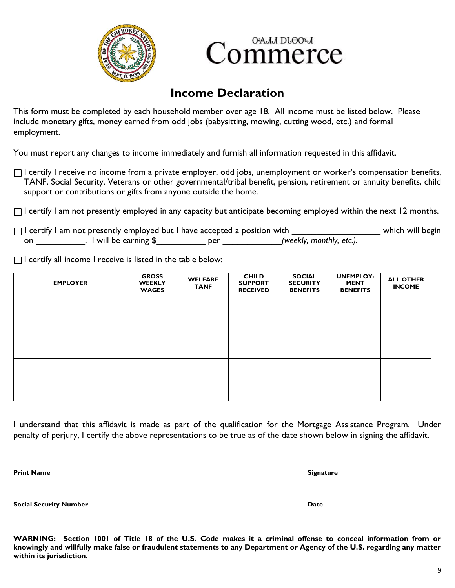![](_page_8_Picture_0.jpeg)

![](_page_8_Picture_1.jpeg)

## **Income Declaration**

This form must be completed by each household member over age 18. All income must be listed below. Please include monetary gifts, money earned from odd jobs (babysitting, mowing, cutting wood, etc.) and formal employment.

You must report any changes to income immediately and furnish all information requested in this affidavit.

 $\Box$  I certify I receive no income from a private employer, odd jobs, unemployment or worker's compensation benefits, TANF, Social Security, Veterans or other governmental/tribal benefit, pension, retirement or annuity benefits, child support or contributions or gifts from anyone outside the home.

 $\Box$  I certify I am not presently employed in any capacity but anticipate becoming employed within the next 12 months.

|    | $\Box$ I certify I am not presently employed but I have accepted a position with |     |                          | which will begin |
|----|----------------------------------------------------------------------------------|-----|--------------------------|------------------|
| on | $\epsilon$ will be earning $\frac{1}{2}$                                         | per | (weekly, monthly, etc.). |                  |

 $\Box$  I certify all income I receive is listed in the table below:

| <b>EMPLOYER</b> | <b>GROSS</b><br><b>WEEKLY</b><br><b>WAGES</b> | <b>WELFARE</b><br><b>TANF</b> | <b>CHILD</b><br><b>SUPPORT</b><br><b>RECEIVED</b> | <b>SOCIAL</b><br><b>SECURITY</b><br><b>BENEFITS</b> | <b>UNEMPLOY-</b><br><b>MENT</b><br><b>BENEFITS</b> | <b>ALL OTHER</b><br><b>INCOME</b> |
|-----------------|-----------------------------------------------|-------------------------------|---------------------------------------------------|-----------------------------------------------------|----------------------------------------------------|-----------------------------------|
|                 |                                               |                               |                                                   |                                                     |                                                    |                                   |
|                 |                                               |                               |                                                   |                                                     |                                                    |                                   |
|                 |                                               |                               |                                                   |                                                     |                                                    |                                   |
|                 |                                               |                               |                                                   |                                                     |                                                    |                                   |
|                 |                                               |                               |                                                   |                                                     |                                                    |                                   |

I understand that this affidavit is made as part of the qualification for the Mortgage Assistance Program. Under penalty of perjury, I certify the above representations to be true as of the date shown below in signing the affidavit.

**\_\_\_\_\_\_\_\_\_\_\_\_\_\_\_\_\_\_\_\_\_\_\_\_\_\_\_\_\_\_\_\_\_\_\_\_\_\_\_ \_\_\_\_\_\_\_\_\_\_\_\_\_\_\_\_\_\_\_\_\_\_\_\_\_\_\_\_\_\_\_\_\_\_\_\_\_\_\_ Print Name Signature**

**Social Security Number Date**

**\_\_\_\_\_\_\_\_\_\_\_\_\_\_\_\_\_\_\_\_\_\_\_\_\_\_\_\_\_\_\_\_\_\_\_\_\_\_\_ \_\_\_\_\_\_\_\_\_\_\_\_\_\_\_\_\_\_\_\_\_\_\_\_\_\_\_\_\_\_\_\_\_\_\_\_\_\_\_**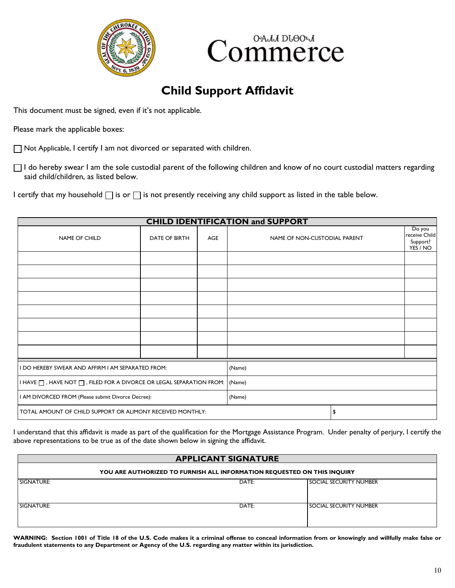![](_page_9_Picture_0.jpeg)

![](_page_9_Picture_1.jpeg)

## **Child Support Affidavit**

This document must be signed, even if it's not applicable.

Please mark the applicable boxes:

Not Applicable, I certify I am not divorced or separated with children.

□ I do hereby swear I am the sole custodial parent of the following children and know of no court custodial matters regarding said child/children, as listed below.

I certify that my household  $\Box$  is or  $\Box$  is not presently receiving any child support as listed in the table below.

| <b>CHILD IDENTIFICATION and SUPPORT</b>                                                 |                      |            |                              |    |                                                 |
|-----------------------------------------------------------------------------------------|----------------------|------------|------------------------------|----|-------------------------------------------------|
| <b>NAME OF CHILD</b>                                                                    | <b>DATE OF BIRTH</b> | <b>AGE</b> | NAME OF NON-CUSTODIAL PARENT |    | Do you<br>receive Child<br>Support?<br>YES / NO |
|                                                                                         |                      |            |                              |    |                                                 |
|                                                                                         |                      |            |                              |    |                                                 |
|                                                                                         |                      |            |                              |    |                                                 |
|                                                                                         |                      |            |                              |    |                                                 |
|                                                                                         |                      |            |                              |    |                                                 |
|                                                                                         |                      |            |                              |    |                                                 |
|                                                                                         |                      |            |                              |    |                                                 |
|                                                                                         |                      |            |                              |    |                                                 |
| I DO HEREBY SWEAR AND AFFIRM I AM SEPARATED FROM:                                       |                      |            | (Name)                       |    |                                                 |
| I HAVE $\Box$ , HAVE NOT $\Box$ , FILED FOR A DIVORCE OR LEGAL SEPARATION FROM: $\vert$ |                      | (Name)     |                              |    |                                                 |
| I AM DIVORCED FROM (Please submit Divorce Decree):                                      |                      | (Name)     |                              |    |                                                 |
| TOTAL AMOUNT OF CHILD SUPPORT OR ALIMONY RECEIVED MONTHLY:                              |                      |            |                              | \$ |                                                 |

I understand that this affidavit is made as part of the qualification for the Mortgage Assistance Program. Under penalty of perjury, I certify the above representations to be true as of the date shown below in signing the affidavit.

| <b>APPLICANT SIGNATURE</b>                                              |       |                               |  |  |
|-------------------------------------------------------------------------|-------|-------------------------------|--|--|
| YOU ARE AUTHORIZED TO FURNISH ALL INFORMATION REQUESTED ON THIS INQUIRY |       |                               |  |  |
| SIGNATURE:                                                              | DATE: | <b>SOCIAL SECURITY NUMBER</b> |  |  |
| SIGNATURE:                                                              | DATE: | <b>SOCIAL SECURITY NUMBER</b> |  |  |